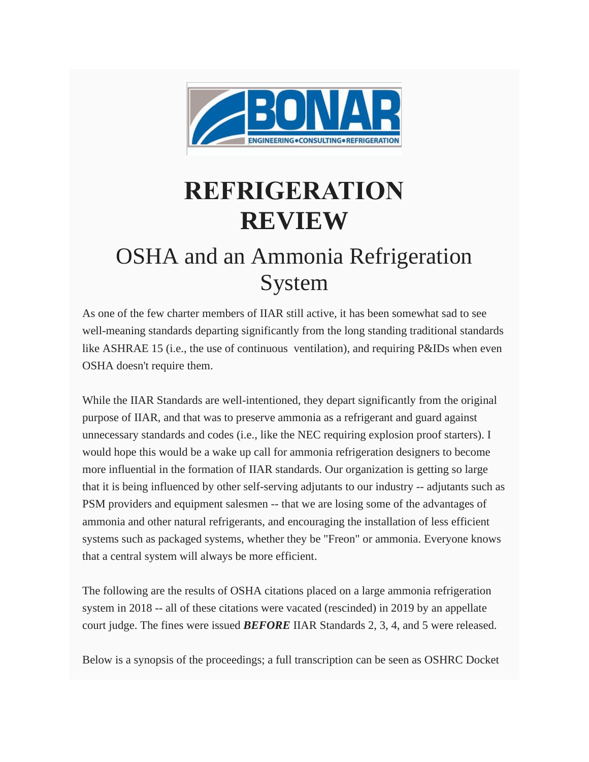

# **REFRIGERATION REVIEW**

## OSHA and an Ammonia Refrigeration System

As one of the few charter members of IIAR still active, it has been somewhat sad to see well-meaning standards departing significantly from the long standing traditional standards like ASHRAE 15 (i.e., the use of continuous ventilation), and requiring P&IDs when even OSHA doesn't require them.

While the IIAR Standards are well-intentioned, they depart significantly from the original purpose of IIAR, and that was to preserve ammonia as a refrigerant and guard against unnecessary standards and codes (i.e., like the NEC requiring explosion proof starters). I would hope this would be a wake up call for ammonia refrigeration designers to become more influential in the formation of IIAR standards. Our organization is getting so large that it is being influenced by other self-serving adjutants to our industry -- adjutants such as PSM providers and equipment salesmen -- that we are losing some of the advantages of ammonia and other natural refrigerants, and encouraging the installation of less efficient systems such as packaged systems, whether they be "Freon" or ammonia. Everyone knows that a central system will always be more efficient.

The following are the results of OSHA citations placed on a large ammonia refrigeration system in 2018 -- all of these citations were vacated (rescinded) in 2019 by an appellate court judge. The fines were issued *BEFORE* IIAR Standards 2, 3, 4, and 5 were released.

Below is a synopsis of the proceedings; a full transcription can be seen as OSHRC Docket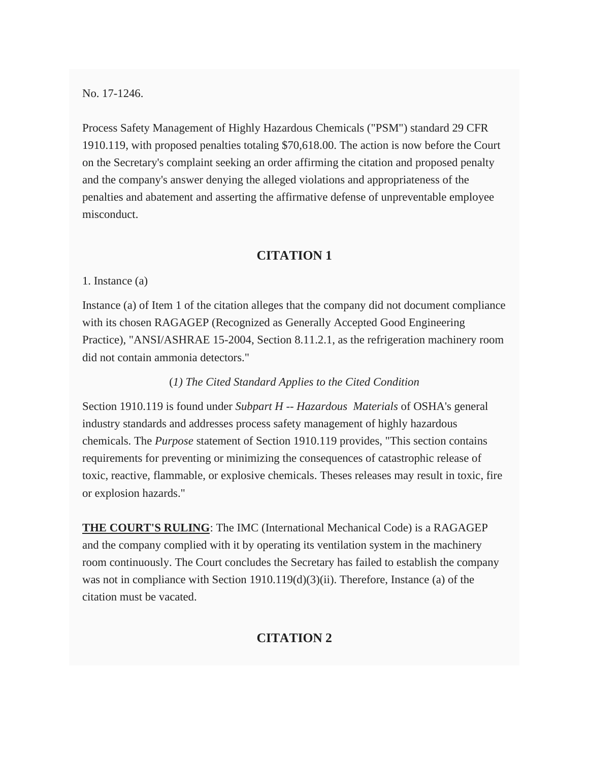No. 17-1246.

Process Safety Management of Highly Hazardous Chemicals ("PSM") standard 29 CFR 1910.119, with proposed penalties totaling \$70,618.00. The action is now before the Court on the Secretary's complaint seeking an order affirming the citation and proposed penalty and the company's answer denying the alleged violations and appropriateness of the penalties and abatement and asserting the affirmative defense of unpreventable employee misconduct.

#### **CITATION 1**

1. Instance (a)

Instance (a) of Item 1 of the citation alleges that the company did not document compliance with its chosen RAGAGEP (Recognized as Generally Accepted Good Engineering Practice), "ANSI/ASHRAE 15-2004, Section 8.11.2.1, as the refrigeration machinery room did not contain ammonia detectors."

#### (*1) The Cited Standard Applies to the Cited Condition*

Section 1910.119 is found under *Subpart H -- Hazardous Materials* of OSHA's general industry standards and addresses process safety management of highly hazardous chemicals. The *Purpose* statement of Section 1910.119 provides, "This section contains requirements for preventing or minimizing the consequences of catastrophic release of toxic, reactive, flammable, or explosive chemicals. Theses releases may result in toxic, fire or explosion hazards."

**THE COURT'S RULING**: The IMC (International Mechanical Code) is a RAGAGEP and the company complied with it by operating its ventilation system in the machinery room continuously. The Court concludes the Secretary has failed to establish the company was not in compliance with Section 1910.119(d)(3)(ii). Therefore, Instance (a) of the citation must be vacated.

### **CITATION 2**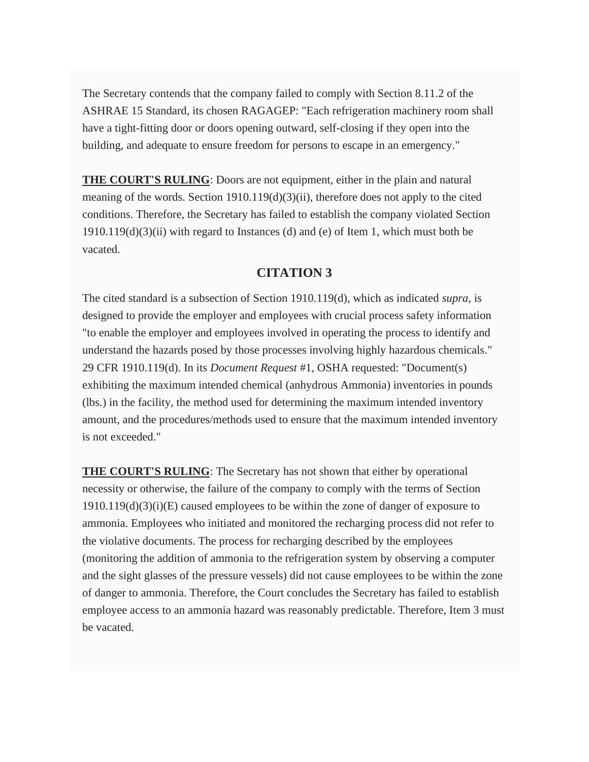The Secretary contends that the company failed to comply with Section 8.11.2 of the ASHRAE 15 Standard, its chosen RAGAGEP: "Each refrigeration machinery room shall have a tight-fitting door or doors opening outward, self-closing if they open into the building, and adequate to ensure freedom for persons to escape in an emergency."

**THE COURT'S RULING**: Doors are not equipment, either in the plain and natural meaning of the words. Section  $1910.119(d)(3)(ii)$ , therefore does not apply to the cited conditions. Therefore, the Secretary has failed to establish the company violated Section  $1910.119(d)(3)(ii)$  with regard to Instances (d) and (e) of Item 1, which must both be vacated.

#### **CITATION 3**

The cited standard is a subsection of Section 1910.119(d), which as indicated *supra*, is designed to provide the employer and employees with crucial process safety information "to enable the employer and employees involved in operating the process to identify and understand the hazards posed by those processes involving highly hazardous chemicals." 29 CFR 1910.119(d). In its *Document Request* #1, OSHA requested: "Document(s) exhibiting the maximum intended chemical (anhydrous Ammonia) inventories in pounds (lbs.) in the facility, the method used for determining the maximum intended inventory amount, and the procedures/methods used to ensure that the maximum intended inventory is not exceeded."

**THE COURT'S RULING**: The Secretary has not shown that either by operational necessity or otherwise, the failure of the company to comply with the terms of Section 1910.119(d)(3)(i)(E) caused employees to be within the zone of danger of exposure to ammonia. Employees who initiated and monitored the recharging process did not refer to the violative documents. The process for recharging described by the employees (monitoring the addition of ammonia to the refrigeration system by observing a computer and the sight glasses of the pressure vessels) did not cause employees to be within the zone of danger to ammonia. Therefore, the Court concludes the Secretary has failed to establish employee access to an ammonia hazard was reasonably predictable. Therefore, Item 3 must be vacated.